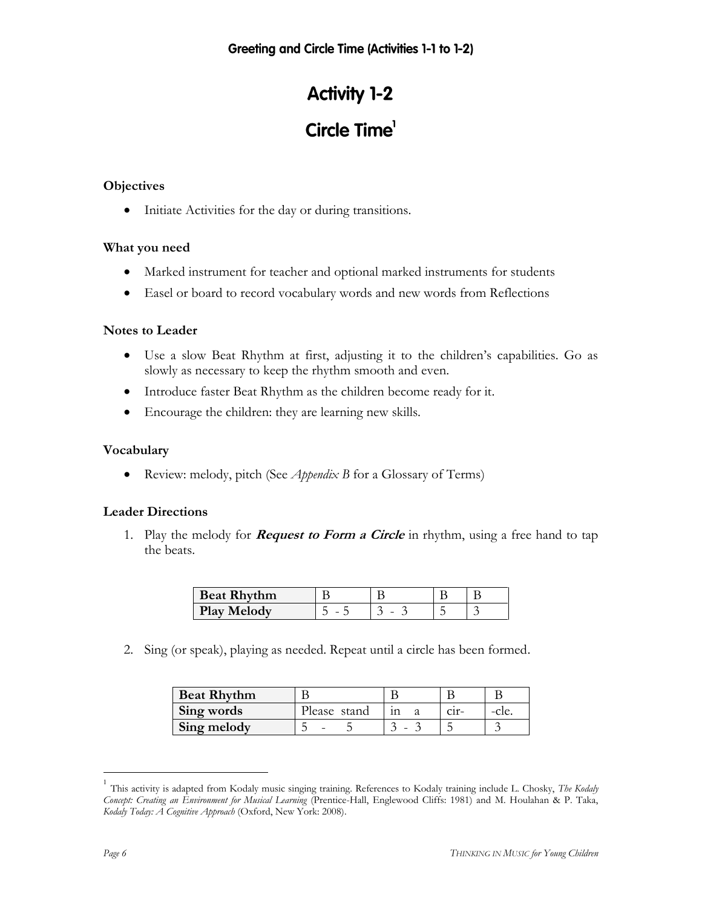## **Activity 1-2**

# Circle Time<sup>1</sup>

#### **Objectives**

• Initiate Activities for the day or during transitions.

#### **What you need**

- Marked instrument for teacher and optional marked instruments for students
- Easel or board to record vocabulary words and new words from Reflections

#### **Notes to Leader**

- Use a slow Beat Rhythm at first, adjusting it to the children's capabilities. Go as slowly as necessary to keep the rhythm smooth and even.
- Introduce faster Beat Rhythm as the children become ready for it.
- Encourage the children: they are learning new skills.

#### **Vocabulary**

Review: melody, pitch (See *Appendix B* for a Glossary of Terms)

#### **Leader Directions**

1. Play the melody for **Request to Form a Circle** in rhythm, using a free hand to tap the beats.

| <b>Beat Rhythm</b> |   |   |  |
|--------------------|---|---|--|
| Plav<br>Melody     | - | - |  |

2. Sing (or speak), playing as needed. Repeat until a circle has been formed.

| <b>Beat Rhythm</b> |              |         |      |
|--------------------|--------------|---------|------|
| Sing words         | Please stand | $C11 -$ | cie. |
| Sing melody        |              |         |      |

<sup>&</sup>lt;sup>1</sup> This activity is adapted from Kodaly music singing training. References to Kodaly training include L. Chosky, *The Kodaly Concept: Creating an Environment for Musical Learning* (Prentice-Hall, Englewood Cliffs: 1981) and M. Houlahan & P. Taka, *Kodaly Today: A Cognitive Approach* (Oxford, New York: 2008).

 $\overline{a}$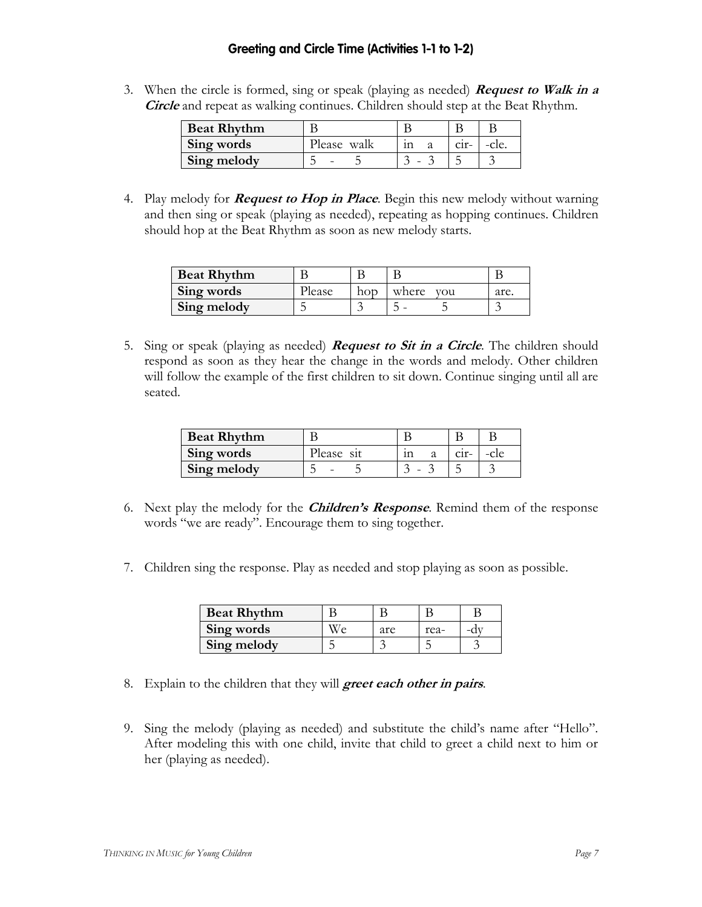#### Greeting and Circle Time (Activities 1-1 to 1-2)

3. When the circle is formed, sing or speak (playing as needed) **Request to Walk in a Circle** and repeat as walking continues. Children should step at the Beat Rhythm.

| <b>Beat Rhythm</b> |             |         |       |
|--------------------|-------------|---------|-------|
| Sing words         | Please walk | $C1f -$ | -cle. |
| Sing melody        |             |         |       |

4. Play melody for **Request to Hop in Place**. Begin this new melody without warning and then sing or speak (playing as needed), repeating as hopping continues. Children should hop at the Beat Rhythm as soon as new melody starts.

| <b>Beat Rhythm</b> |        |              |      |
|--------------------|--------|--------------|------|
| Sing words         | Piease | where<br>vou | are. |
| Sing melody        |        |              |      |

5. Sing or speak (playing as needed) **Request to Sit in a Circle**. The children should respond as soon as they hear the change in the words and melody. Other children will follow the example of the first children to sit down. Continue singing until all are seated.

| <b>Beat Rhythm</b> |           |         |  |
|--------------------|-----------|---------|--|
| Sing words         | lease sit | $C11$ - |  |
| Sing melody        |           |         |  |

- 6. Next play the melody for the **Children's Response**. Remind them of the response words "we are ready". Encourage them to sing together.
- 7. Children sing the response. Play as needed and stop playing as soon as possible.

| <b>Beat Rhythm</b> |     |      |  |
|--------------------|-----|------|--|
| Sing words         | are | rea- |  |
| Sing melody        |     |      |  |

- 8. Explain to the children that they will **greet each other in pairs**.
- 9. Sing the melody (playing as needed) and substitute the child's name after "Hello". After modeling this with one child, invite that child to greet a child next to him or her (playing as needed).